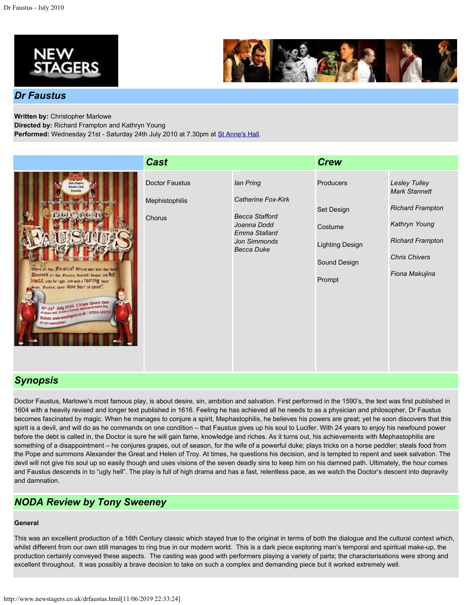



# *Dr Faustus*

**Written by:** Christopher Marlowe

**Directed by:** Richard Frampton and Kathryn Young

Performed: Wednesday 21st - Saturday 24th July 2010 at 7.30pm at [St Anne's Hall](http://www.newstagers.co.uk/directions.html).

|                                                                                                                                                                                                                                                                                                                                                                                                                                                     | <b>Cast</b>                                |                                                                                                                               | <b>Crew</b>                                                                            |                                                                                                                                                               |
|-----------------------------------------------------------------------------------------------------------------------------------------------------------------------------------------------------------------------------------------------------------------------------------------------------------------------------------------------------------------------------------------------------------------------------------------------------|--------------------------------------------|-------------------------------------------------------------------------------------------------------------------------------|----------------------------------------------------------------------------------------|---------------------------------------------------------------------------------------------------------------------------------------------------------------|
| <b>Jym Sharm</b><br>Vinchy Club<br>Francis<br>the tracied history of the life of death of<br><b>BAR CHACAN</b><br>Ohere art than Fourthing? Obvered ushed hour than bone?<br>Damned art that fountie, describt, despair and OIP<br>MOLL caps for right, and mith a TBITTING bear.<br>waps. Faishis, come thing bout is come!<br>2pc.24 <sup>n</sup> duly 2010 130pm (Duets 7pm)<br>Timets: www.neastagets.ce.uk/ 07814 61239<br>E9 rgs concessions) | Doctor Faustus<br>Mephistophilis<br>Chorus | <b>lan Pring</b><br>Catherine Fox-Kirk<br><b>Becca Stafford</b><br>Joanna Dodd<br>Emma Stallard<br>Jon Simmonds<br>Becca Duke | Producers<br>Set Design<br>Costume<br><b>Lighting Design</b><br>Sound Design<br>Prompt | <b>Lesley Tulley</b><br><b>Mark Stannett</b><br><b>Richard Frampton</b><br>Kathryn Young<br><b>Richard Frampton</b><br><b>Chris Chivers</b><br>Fiona Makujina |

# *Synopsis*

Doctor Faustus, Marlowe's most famous play, is about desire, sin, ambition and salvation. First performed in the 1590's, the text was first published in 1604 with a heavily revised and longer text published in 1616. Feeling he has achieved all he needs to as a physician and philosopher, Dr Faustus becomes fascinated by magic. When he manages to conjure a spirit, Mephastophilis, he believes his powers are great; yet he soon discovers that this spirit is a devil, and will do as he commands on one condition – that Faustus gives up his soul to Lucifer. With 24 years to enjoy his newfound power before the debt is called in, the Doctor is sure he will gain fame, knowledge and riches. As it turns out, his achievements with Mephastophilis are something of a disappointment – he conjures grapes, out of season, for the wife of a powerful duke; plays tricks on a horse peddler; steals food from the Pope and summons Alexander the Great and Helen of Troy. At times, he questions his decision, and is tempted to repent and seek salvation. The devil will not give his soul up so easily though and uses visions of the seven deadly sins to keep him on his damned path. Ultimately, the hour comes and Faustus descends in to "ugly hell". The play is full of high drama and has a fast, relentless pace, as we watch the Doctor's descent into depravity and damnation.

# *NODA Review by Tony Sweeney*

# **General**

This was an excellent production of a 16th Century classic which stayed true to the original in terms of both the dialogue and the cultural context which, whilst different from our own still manages to ring true in our modern world. This is a dark piece exploring man's temporal and spiritual make-up, the production certainly conveyed these aspects. The casting was good with performers playing a variety of parts; the characterisations were strong and excellent throughout. It was possibly a brave decision to take on such a complex and demanding piece but it worked extremely well.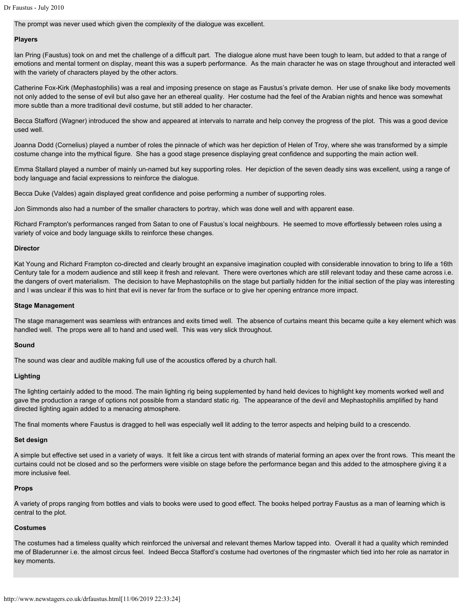The prompt was never used which given the complexity of the dialogue was excellent.

#### **Players**

Ian Pring (Faustus) took on and met the challenge of a difficult part. The dialogue alone must have been tough to learn, but added to that a range of emotions and mental torment on display, meant this was a superb performance. As the main character he was on stage throughout and interacted well with the variety of characters played by the other actors.

Catherine Fox-Kirk (Mephastophilis) was a real and imposing presence on stage as Faustus's private demon. Her use of snake like body movements not only added to the sense of evil but also gave her an ethereal quality. Her costume had the feel of the Arabian nights and hence was somewhat more subtle than a more traditional devil costume, but still added to her character.

Becca Stafford (Wagner) introduced the show and appeared at intervals to narrate and help convey the progress of the plot. This was a good device used well.

Joanna Dodd (Cornelius) played a number of roles the pinnacle of which was her depiction of Helen of Troy, where she was transformed by a simple costume change into the mythical figure. She has a good stage presence displaying great confidence and supporting the main action well.

Emma Stallard played a number of mainly un-named but key supporting roles. Her depiction of the seven deadly sins was excellent, using a range of body language and facial expressions to reinforce the dialogue.

Becca Duke (Valdes) again displayed great confidence and poise performing a number of supporting roles.

Jon Simmonds also had a number of the smaller characters to portray, which was done well and with apparent ease.

Richard Frampton's performances ranged from Satan to one of Faustus's local neighbours. He seemed to move effortlessly between roles using a variety of voice and body language skills to reinforce these changes.

#### **Director**

Kat Young and Richard Frampton co-directed and clearly brought an expansive imagination coupled with considerable innovation to bring to life a 16th Century tale for a modern audience and still keep it fresh and relevant. There were overtones which are still relevant today and these came across i.e. the dangers of overt materialism. The decision to have Mephastophilis on the stage but partially hidden for the initial section of the play was interesting and I was unclear if this was to hint that evil is never far from the surface or to give her opening entrance more impact.

### **Stage Management**

The stage management was seamless with entrances and exits timed well. The absence of curtains meant this became quite a key element which was handled well. The props were all to hand and used well. This was very slick throughout.

#### **Sound**

The sound was clear and audible making full use of the acoustics offered by a church hall.

#### **Lighting**

The lighting certainly added to the mood. The main lighting rig being supplemented by hand held devices to highlight key moments worked well and gave the production a range of options not possible from a standard static rig. The appearance of the devil and Mephastophilis amplified by hand directed lighting again added to a menacing atmosphere.

The final moments where Faustus is dragged to hell was especially well lit adding to the terror aspects and helping build to a crescendo.

### **Set design**

A simple but effective set used in a variety of ways. It felt like a circus tent with strands of material forming an apex over the front rows. This meant the curtains could not be closed and so the performers were visible on stage before the performance began and this added to the atmosphere giving it a more inclusive feel.

#### **Props**

A variety of props ranging from bottles and vials to books were used to good effect. The books helped portray Faustus as a man of learning which is central to the plot.

#### **Costumes**

The costumes had a timeless quality which reinforced the universal and relevant themes Marlow tapped into. Overall it had a quality which reminded me of Bladerunner i.e. the almost circus feel. Indeed Becca Stafford's costume had overtones of the ringmaster which tied into her role as narrator in key moments.